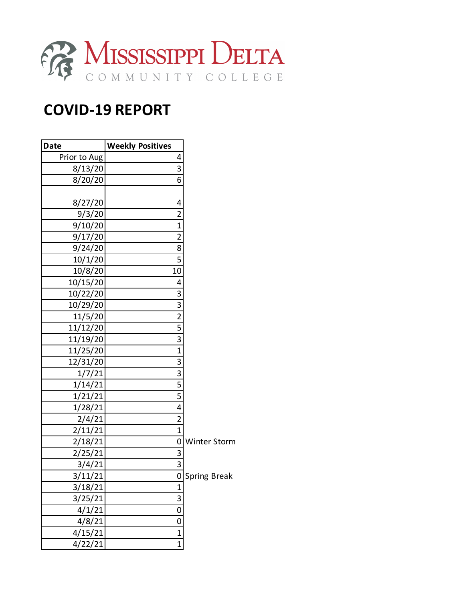

## **COVID-19 REPORT**

| <b>Date</b>  | <b>Weekly Positives</b>  |                     |
|--------------|--------------------------|---------------------|
| Prior to Aug | 4                        |                     |
| 8/13/20      | 3                        |                     |
| 8/20/20      | 6                        |                     |
|              |                          |                     |
| 8/27/20      | 4                        |                     |
| 9/3/20       | $\overline{2}$           |                     |
| 9/10/20      | $\mathbf 1$              |                     |
| 9/17/20      | $\overline{2}$           |                     |
| 9/24/20      | 8                        |                     |
| 10/1/20      | 5                        |                     |
| 10/8/20      | 10                       |                     |
| 10/15/20     | 4                        |                     |
| 10/22/20     | 3                        |                     |
| 10/29/20     | 3                        |                     |
| 11/5/20      | $\overline{2}$           |                     |
| 11/12/20     | 5                        |                     |
| 11/19/20     | $\overline{\mathbf{3}}$  |                     |
| 11/25/20     | $\overline{1}$           |                     |
| 12/31/20     | 3                        |                     |
| 1/7/21       | 3                        |                     |
| 1/14/21      | 5                        |                     |
| 1/21/21      | 5                        |                     |
| 1/28/21      | $\overline{\mathcal{L}}$ |                     |
| 2/4/21       | $\overline{2}$           |                     |
| 2/11/21      | $\overline{1}$           |                     |
| 2/18/21      | 0                        | <b>Winter Storm</b> |
| 2/25/21      | 3                        |                     |
| 3/4/21       | 3                        |                     |
| 3/11/21      | $\overline{\mathsf{0}}$  | Spring Break        |
| 3/18/21      | $\mathbf 1$              |                     |
| 3/25/21      | $\overline{3}$           |                     |
| 4/1/21       | $\mathbf 0$              |                     |
| 4/8/21       | $\mathbf 0$              |                     |
| 4/15/21      | $\mathbf{1}$             |                     |
| 4/22/21      | $\mathbf{1}$             |                     |